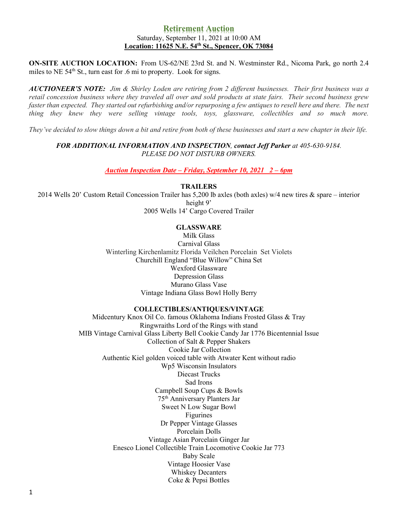# **Retirement Auction** Saturday, September 11, 2021 at 10:00 AM **Location: 11625 N.E. 54th St., Spencer, OK 73084**

**ON-SITE AUCTION LOCATION:** From US-62/NE 23rd St. and N. Westminster Rd., Nicoma Park, go north 2.4 miles to NE  $54<sup>th</sup>$  St., turn east for .6 mi to property. Look for signs.

*AUCTIONEER'S NOTE: Jim & Shirley Loden are retiring from 2 different businesses. Their first business was a retail concession business where they traveled all over and sold products at state fairs. Their second business grew faster than expected. They started out refurbishing and/or repurposing a few antiques to resell here and there. The next thing they knew they were selling vintage tools, toys, glassware, collectibles and so much more.*

*They've decided to slow things down a bit and retire from both of these businesses and start a new chapter in their life.*

# *FOR ADDITIONAL INFORMATION AND INSPECTION, contact Jeff Parker at 405-630-9184. PLEASE DO NOT DISTURB OWNERS.*

*Auction Inspection Date – Friday, September 10, 2021 2 – 6pm*

## **TRAILERS**

2014 Wells 20' Custom Retail Concession Trailer has 5,200 lb axles (both axles) w/4 new tires & spare – interior height 9'

2005 Wells 14' Cargo Covered Trailer

# **GLASSWARE**

Milk Glass Carnival Glass Winterling Kirchenlamitz Florida Veilchen Porcelain Set Violets Churchill England "Blue Willow" China Set Wexford Glassware Depression Glass Murano Glass Vase Vintage Indiana Glass Bowl Holly Berry

# **COLLECTIBLES/ANTIQUES/VINTAGE**

Midcentury Knox Oil Co. famous Oklahoma Indians Frosted Glass & Tray Ringwraiths Lord of the Rings with stand MIB Vintage Carnival Glass Liberty Bell Cookie Candy Jar 1776 Bicentennial Issue Collection of Salt & Pepper Shakers Cookie Jar Collection Authentic Kiel golden voiced table with Atwater Kent without radio Wp5 Wisconsin Insulators Diecast Trucks Sad Irons Campbell Soup Cups & Bowls 75th Anniversary Planters Jar Sweet N Low Sugar Bowl Figurines Dr Pepper Vintage Glasses Porcelain Dolls Vintage Asian Porcelain Ginger Jar Enesco Lionel Collectible Train Locomotive Cookie Jar 773 Baby Scale Vintage Hoosier Vase Whiskey Decanters Coke & Pepsi Bottles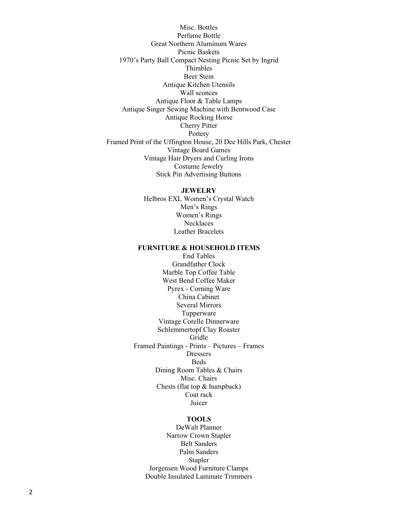Misc. Bottles Perfume Bottle Great Northern Aluminum Wares Picnic Baskets 1970's Party Ball Compact Nesting Picnic Set by Ingrid Thimbles Beer Stein Antique Kitchen Utensils Wall sconces Antique Floor & Table Lamps Antique Singer Sewing Machine with Bentwood Case Antique Rocking Horse Cherry Pitter **Pottery** Framed Print of the Uffington House, 20 Dee Hills Park, Chester Vintage Board Games Vintage Hair Dryers and Curling Irons Costume Jewelry Stick Pin Advertising Buttons

#### **JEWELRY**

Helbros EXL Women's Crystal Watch Men's Rings Women's Rings **Necklaces** Leather Bracelets

### **FURNITURE & HOUSEHOLD ITEMS**

End Tables Grandfather Clock Marble Top Coffee Table West Bend Coffee Maker Pyrex - Corning Ware China Cabinet Several Mirrors Tupperware Vintage Corelle Dinnerware Schlemmertopf Clay Roaster Gridle Framed Paintings - Prints – Pictures – Frames Dressers Beds Dining Room Tables & Chairs Misc. Chairs Chests (flat top & humpback) Coat rack Juicer

## **TOOLS**

DeWalt Planner Narrow Crown Stapler Belt Sanders Palm Sanders Stapler Jorgensen Wood Furniture Clamps Double Insulated Laminate Trimmers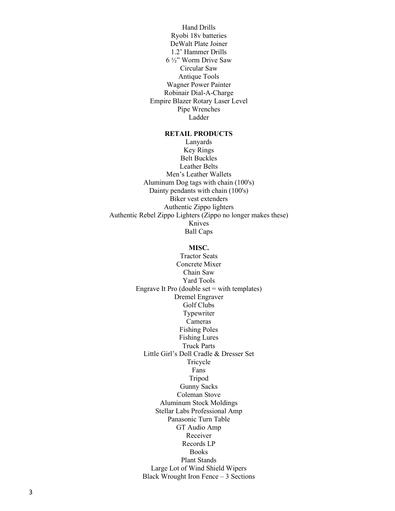Hand Drills Ryobi 18v batteries DeWalt Plate Joiner 1.2' Hammer Drills 6 ½" Worm Drive Saw Circular Saw Antique Tools Wagner Power Painter Robinair Dial-A-Charge Empire Blazer Rotary Laser Level Pipe Wrenches Ladder

# **RETAIL PRODUCTS**

Lanyards Key Rings Belt Buckles Leather Belts Men's Leather Wallets Aluminum Dog tags with chain (100's) Dainty pendants with chain (100's) Biker vest extenders Authentic Zippo lighters Authentic Rebel Zippo Lighters (Zippo no longer makes these) Knives Ball Caps

## **MISC.**

Tractor Seats Concrete Mixer Chain Saw Yard Tools Engrave It Pro (double set  $=$  with templates) Dremel Engraver Golf Clubs Typewriter Cameras Fishing Poles Fishing Lures Truck Parts Little Girl's Doll Cradle & Dresser Set Tricycle Fans Tripod Gunny Sacks Coleman Stove Aluminum Stock Moldings Stellar Labs Professional Amp Panasonic Turn Table GT Audio Amp Receiver Records LP **Books** Plant Stands Large Lot of Wind Shield Wipers Black Wrought Iron Fence – 3 Sections